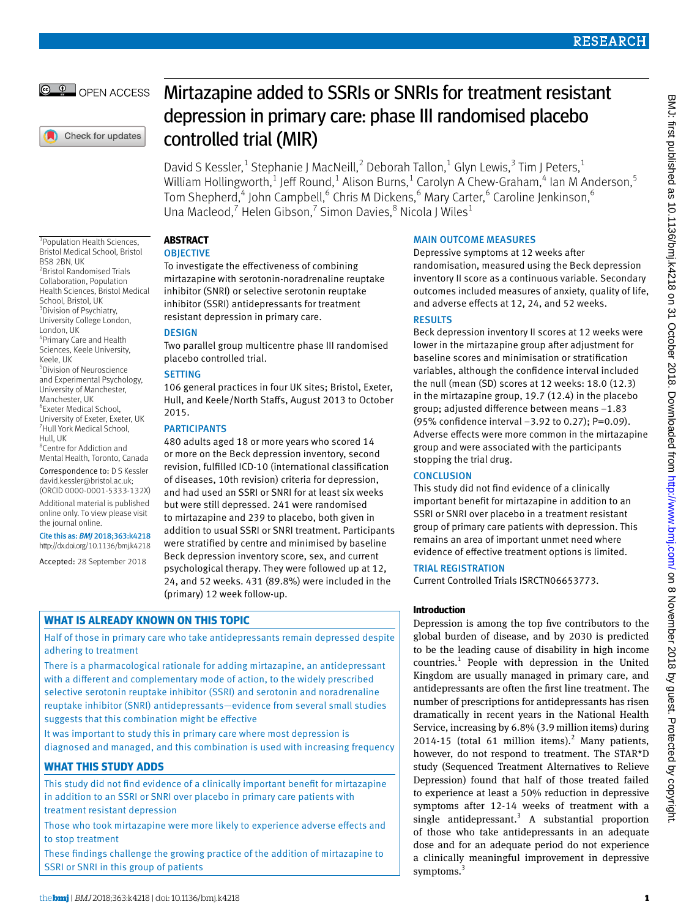# © <sup>0</sup> OPEN ACCESS

Check for updates

1 Population Health Sciences, Bristol Medical School, Bristol

2 Bristol Randomised Trials Collaboration, Population Health Sciences, Bristol Medical

4 Primary Care and Health Sciences, Keele University,

5 Division of Neuroscience and Experimental Psychology, University of Manchester, Manchester, UK 6 Exeter Medical School, University of Exeter, Exeter, UK 7 Hull York Medical School,

8 Centre for Addiction and Mental Health, Toronto, Canada Correspondence to: D S Kessler [david.kessler@bristol.ac.uk;](mailto:david.kessler@bristol.ac.uk) (ORCID [0000-0001-5333-132X](http://orcid.org/0000-0001-5333-132X)) Additional material is published online only. To view please visit

the journal online.

Cite this as: *BMJ* 2018;363:k4218 http://dx.doi.org/10.1136/bmj.k4218 Accepted: 28 September 2018

BS8 2BN, UK

London, UK

Keele, UK

Hull, UK

School, Bristol, UK <sup>3</sup> Division of Psychiatry, University College London,

# Mirtazapine added to SSRIs or SNRIs for treatment resistant depression in primary care: phase III randomised placebo controlled trial (MIR)

David S Kessler,<sup>1</sup> Stephanie J MacNeill,<sup>2</sup> Deborah Tallon,<sup>1</sup> Glyn Lewis,<sup>3</sup> Tim J Peters,<sup>1</sup> William Hollingworth, $^1$  Jeff Round, $^1$  Alison Burns, $^1$  Carolyn A Chew-Graham, $^4$  Ian M Anderson, $^5$ Tom Shepherd,<sup>4</sup> John Campbell,<sup>6</sup> Chris M Dickens,<sup>6</sup> Mary Carter,<sup>6</sup> Caroline Jenkinson,<sup>6</sup> Una Macleod,<sup>7</sup> Helen Gibson,<sup>7</sup> Simon Davies,<sup>8</sup> Nicola J Wiles<sup>1</sup>

# **ABSTRACT**

# **OBJECTIVE**

To investigate the effectiveness of combining mirtazapine with serotonin-noradrenaline reuptake inhibitor (SNRI) or selective serotonin reuptake inhibitor (SSRI) antidepressants for treatment resistant depression in primary care.

# DESIGN

Two parallel group multicentre phase III randomised placebo controlled trial.

# **SETTING**

106 general practices in four UK sites; Bristol, Exeter, Hull, and Keele/North Staffs, August 2013 to October 2015.

# PARTICIPANTS

480 adults aged 18 or more years who scored 14 or more on the Beck depression inventory, second revision, fulfilled ICD-10 (international classification of diseases, 10th revision) criteria for depression, and had used an SSRI or SNRI for at least six weeks but were still depressed. 241 were randomised to mirtazapine and 239 to placebo, both given in addition to usual SSRI or SNRI treatment. Participants were stratified by centre and minimised by baseline Beck depression inventory score, sex, and current psychological therapy. They were followed up at 12, 24, and 52 weeks. 431 (89.8%) were included in the (primary) 12 week follow-up.

# **WHAT IS ALREADY KNOWN ON THIS TOPIC**

Half of those in primary care who take antidepressants remain depressed despite adhering to treatment

There is a pharmacological rationale for adding mirtazapine, an antidepressant with a different and complementary mode of action, to the widely prescribed selective serotonin reuptake inhibitor (SSRI) and serotonin and noradrenaline reuptake inhibitor (SNRI) antidepressants—evidence from several small studies suggests that this combination might be effective

It was important to study this in primary care where most depression is diagnosed and managed, and this combination is used with increasing frequency

# **WHAT THIS STUDY ADDS**

This study did not find evidence of a clinically important benefit for mirtazapine in addition to an SSRI or SNRI over placebo in primary care patients with treatment resistant depression

Those who took mirtazapine were more likely to experience adverse effects and to stop treatment

These findings challenge the growing practice of the addition of mirtazapine to SSRI or SNRI in this group of patients

# MAIN OUTCOME MEASURES

Depressive symptoms at 12 weeks after randomisation, measured using the Beck depression inventory II score as a continuous variable. Secondary outcomes included measures of anxiety, quality of life, and adverse effects at 12, 24, and 52 weeks.

# RESULTS

Beck depression inventory II scores at 12 weeks were lower in the mirtazapine group after adjustment for baseline scores and minimisation or stratification variables, although the confidence interval included the null (mean (SD) scores at 12 weeks: 18.0 (12.3) in the mirtazapine group, 19.7 (12.4) in the placebo group; adjusted difference between means −1.83 (95% confidence interval −3.92 to 0.27); P=0.09). Adverse effects were more common in the mirtazapine group and were associated with the participants stopping the trial drug.

# **CONCLUSION**

This study did not find evidence of a clinically important benefit for mirtazapine in addition to an SSRI or SNRI over placebo in a treatment resistant group of primary care patients with depression. This remains an area of important unmet need where evidence of effective treatment options is limited.

# TRIAL REGISTRATION

Current Controlled Trials ISRCTN06653773.

# **Introduction**

Depression is among the top five contributors to the global burden of disease, and by 2030 is predicted to be the leading cause of disability in high income countries.<sup>1</sup> People with depression in the United Kingdom are usually managed in primary care, and antidepressants are often the first line treatment. The number of prescriptions for antidepressants has risen dramatically in recent years in the National Health Service, increasing by 6.8% (3.9 million items) during  $2014-15$  (total 61 million items).<sup>2</sup> Many patients, however, do not respond to treatment. The STAR\*D study (Sequenced Treatment Alternatives to Relieve Depression) found that half of those treated failed to experience at least a 50% reduction in depressive symptoms after 12-14 weeks of treatment with a single antidepressant.<sup>3</sup> A substantial proportion of those who take antidepressants in an adequate dose and for an adequate period do not experience a clinically meaningful improvement in depressive symptoms.<sup>3</sup>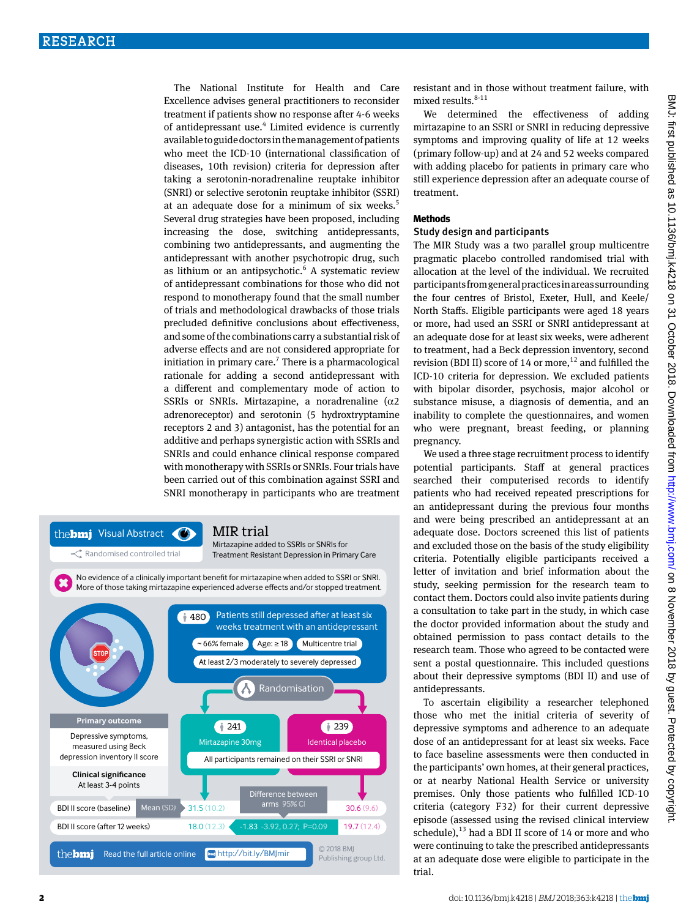The National Institute for Health and Care Excellence advises general practitioners to reconsider treatment if patients show no response after 4-6 weeks of antidepressant use.<sup>4</sup> Limited evidence is currently available to guide doctors in the management of patients who meet the ICD-10 (international classification of diseases, 10th revision) criteria for depression after taking a serotonin-noradrenaline reuptake inhibitor (SNRI) or selective serotonin reuptake inhibitor (SSRI) at an adequate dose for a minimum of six weeks.<sup>5</sup> Several drug strategies have been proposed, including increasing the dose, switching antidepressants, combining two antidepressants, and augmenting the antidepressant with another psychotropic drug, such as lithium or an antipsychotic.<sup>6</sup> A systematic review of antidepressant combinations for those who did not respond to monotherapy found that the small number of trials and methodological drawbacks of those trials precluded definitive conclusions about effectiveness, and some of the combinations carry a substantial risk of adverse effects and are not considered appropriate for initiation in primary care.<sup>7</sup> There is a pharmacological rationale for adding a second antidepressant with a different and complementary mode of action to SSRIs or SNRIs. Mirtazapine, a noradrenaline ( $\alpha$ 2 adrenoreceptor) and serotonin (5 hydroxtryptamine receptors 2 and 3) antagonist, has the potential for an additive and perhaps synergistic action with SSRIs and SNRIs and could enhance clinical response compared with monotherapy with SSRIs or SNRIs. Four trials have been carried out of this combination against SSRI and SNRI monotherapy in participants who are treatment



resistant and in those without treatment failure, with mixed results. $8-11$ 

We determined the effectiveness of adding mirtazapine to an SSRI or SNRI in reducing depressive symptoms and improving quality of life at 12 weeks (primary follow-up) and at 24 and 52 weeks compared with adding placebo for patients in primary care who still experience depression after an adequate course of treatment.

#### **Methods**

### Study design and participants

The MIR Study was a two parallel group multicentre pragmatic placebo controlled randomised trial with allocation at the level of the individual. We recruited participants from general practices in areas surrounding the four centres of Bristol, Exeter, Hull, and Keele/ North Staffs. Eligible participants were aged 18 years or more, had used an SSRI or SNRI antidepressant at an adequate dose for at least six weeks, were adherent to treatment, had a Beck depression inventory, second revision (BDI II) score of 14 or more,<sup>12</sup> and fulfilled the ICD-10 criteria for depression. We excluded patients with bipolar disorder, psychosis, major alcohol or substance misuse, a diagnosis of dementia, and an inability to complete the questionnaires, and women who were pregnant, breast feeding, or planning pregnancy.

We used a three stage recruitment process to identify potential participants. Staff at general practices searched their computerised records to identify patients who had received repeated prescriptions for an antidepressant during the previous four months and were being prescribed an antidepressant at an adequate dose. Doctors screened this list of patients and excluded those on the basis of the study eligibility criteria. Potentially eligible participants received a letter of invitation and brief information about the study, seeking permission for the research team to contact them. Doctors could also invite patients during a consultation to take part in the study, in which case the doctor provided information about the study and obtained permission to pass contact details to the research team. Those who agreed to be contacted were sent a postal questionnaire. This included questions about their depressive symptoms (BDI II) and use of antidepressants.

To ascertain eligibility a researcher telephoned those who met the initial criteria of severity of depressive symptoms and adherence to an adequate dose of an antidepressant for at least six weeks. Face to face baseline assessments were then conducted in the participants' own homes, at their general practices, or at nearby National Health Service or university premises. Only those patients who fulfilled ICD-10 criteria (category F32) for their current depressive episode (assessed using the revised clinical interview schedule), $^{13}$  had a BDI II score of 14 or more and who were continuing to take the prescribed antidepressants at an adequate dose were eligible to participate in the trial.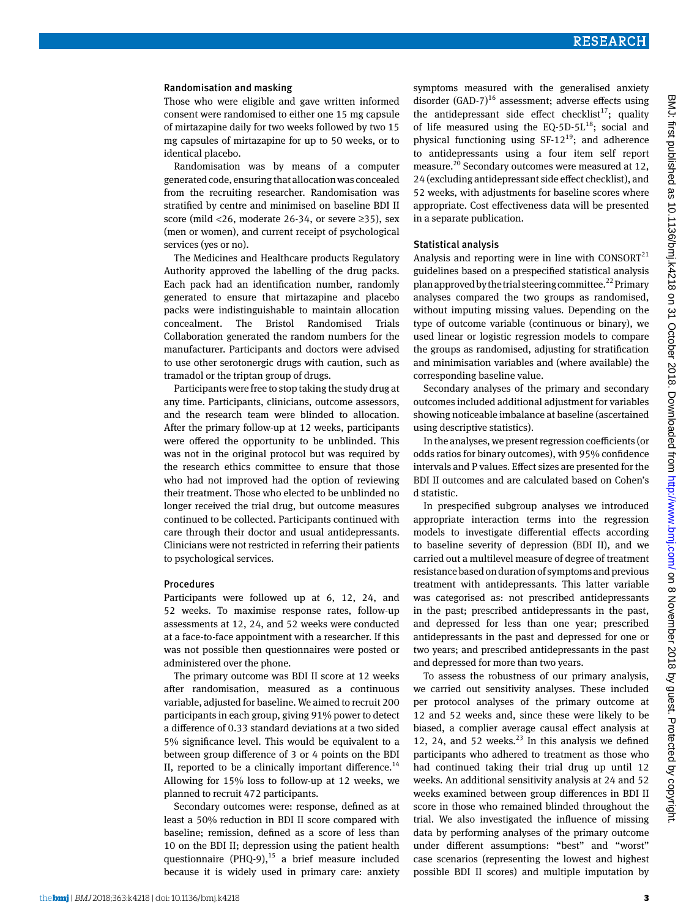#### Randomisation and masking

Those who were eligible and gave written informed consent were randomised to either one 15 mg capsule of mirtazapine daily for two weeks followed by two 15 mg capsules of mirtazapine for up to 50 weeks, or to identical placebo.

Randomisation was by means of a computer generated code, ensuring that allocation was concealed from the recruiting researcher. Randomisation was stratified by centre and minimised on baseline BDI II score (mild <26, moderate 26-34, or severe ≥35), sex (men or women), and current receipt of psychological services (yes or no).

The Medicines and Healthcare products Regulatory Authority approved the labelling of the drug packs. Each pack had an identification number, randomly generated to ensure that mirtazapine and placebo packs were indistinguishable to maintain allocation concealment. The Bristol Randomised Trials Collaboration generated the random numbers for the manufacturer. Participants and doctors were advised to use other serotonergic drugs with caution, such as tramadol or the triptan group of drugs.

Participants were free to stop taking the study drug at any time. Participants, clinicians, outcome assessors, and the research team were blinded to allocation. After the primary follow-up at 12 weeks, participants were offered the opportunity to be unblinded. This was not in the original protocol but was required by the research ethics committee to ensure that those who had not improved had the option of reviewing their treatment. Those who elected to be unblinded no longer received the trial drug, but outcome measures continued to be collected. Participants continued with care through their doctor and usual antidepressants. Clinicians were not restricted in referring their patients to psychological services.

#### Procedures

Participants were followed up at 6, 12, 24, and 52 weeks. To maximise response rates, follow-up assessments at 12, 24, and 52 weeks were conducted at a face-to-face appointment with a researcher. If this was not possible then questionnaires were posted or administered over the phone.

The primary outcome was BDI II score at 12 weeks after randomisation, measured as a continuous variable, adjusted for baseline. We aimed to recruit 200 participants in each group, giving 91% power to detect a difference of 0.33 standard deviations at a two sided 5% significance level. This would be equivalent to a between group difference of 3 or 4 points on the BDI II, reported to be a clinically important difference.<sup>14</sup> Allowing for 15% loss to follow-up at 12 weeks, we planned to recruit 472 participants.

Secondary outcomes were: response, defined as at least a 50% reduction in BDI II score compared with baseline; remission, defined as a score of less than 10 on the BDI II; depression using the patient health questionnaire (PHQ-9), $^{15}$  a brief measure included because it is widely used in primary care: anxiety

symptoms measured with the generalised anxiety disorder  $(GAD-7)^{16}$  assessment; adverse effects using the antidepressant side effect checklist<sup>17</sup>; quality of life measured using the  $EQ-5D-5L^{18}$ ; social and physical functioning using  $SF-12^{19}$ ; and adherence to antidepressants using a four item self report measure.<sup>20</sup> Secondary outcomes were measured at 12, 24 (excluding antidepressant side effect checklist), and 52 weeks, with adjustments for baseline scores where appropriate. Cost effectiveness data will be presented in a separate publication.

#### Statistical analysis

Analysis and reporting were in line with  $CONSORT<sup>21</sup>$ guidelines based on a prespecified statistical analysis plan approved by the trial steering committee.<sup>22</sup> Primary analyses compared the two groups as randomised, without imputing missing values. Depending on the type of outcome variable (continuous or binary), we used linear or logistic regression models to compare the groups as randomised, adjusting for stratification and minimisation variables and (where available) the corresponding baseline value.

Secondary analyses of the primary and secondary outcomes included additional adjustment for variables showing noticeable imbalance at baseline (ascertained using descriptive statistics).

In the analyses, we present regression coefficients (or odds ratios for binary outcomes), with 95% confidence intervals and P values. Effect sizes are presented for the BDI II outcomes and are calculated based on Cohen's d statistic.

In prespecified subgroup analyses we introduced appropriate interaction terms into the regression models to investigate differential effects according to baseline severity of depression (BDI II), and we carried out a multilevel measure of degree of treatment resistance based on duration of symptoms and previous treatment with antidepressants. This latter variable was categorised as: not prescribed antidepressants in the past; prescribed antidepressants in the past, and depressed for less than one year; prescribed antidepressants in the past and depressed for one or two years; and prescribed antidepressants in the past and depressed for more than two years.

To assess the robustness of our primary analysis, we carried out sensitivity analyses. These included per protocol analyses of the primary outcome at 12 and 52 weeks and, since these were likely to be biased, a complier average causal effect analysis at 12, 24, and 52 weeks. $^{23}$  In this analysis we defined participants who adhered to treatment as those who had continued taking their trial drug up until 12 weeks. An additional sensitivity analysis at 24 and 52 weeks examined between group differences in BDI II score in those who remained blinded throughout the trial. We also investigated the influence of missing data by performing analyses of the primary outcome under different assumptions: "best" and "worst" case scenarios (representing the lowest and highest possible BDI II scores) and multiple imputation by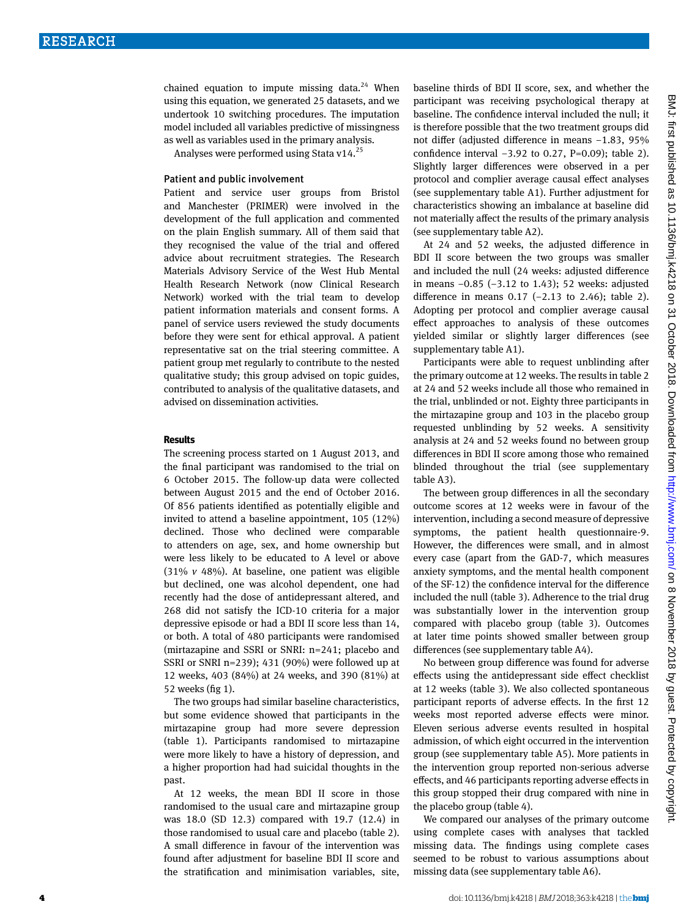chained equation to impute missing data. $24$  When using this equation, we generated 25 datasets, and we undertook 10 switching procedures. The imputation model included all variables predictive of missingness as well as variables used in the primary analysis.

Analyses were performed using Stata v14.<sup>25</sup>

#### Patient and public involvement

Patient and service user groups from Bristol and Manchester (PRIMER) were involved in the development of the full application and commented on the plain English summary. All of them said that they recognised the value of the trial and offered advice about recruitment strategies. The Research Materials Advisory Service of the West Hub Mental Health Research Network (now Clinical Research Network) worked with the trial team to develop patient information materials and consent forms. A panel of service users reviewed the study documents before they were sent for ethical approval. A patient representative sat on the trial steering committee. A patient group met regularly to contribute to the nested qualitative study; this group advised on topic guides, contributed to analysis of the qualitative datasets, and advised on dissemination activities.

#### **Results**

The screening process started on 1 August 2013, and the final participant was randomised to the trial on 6 October 2015. The follow-up data were collected between August 2015 and the end of October 2016. Of 856 patients identified as potentially eligible and invited to attend a baseline appointment, 105 (12%) declined. Those who declined were comparable to attenders on age, sex, and home ownership but were less likely to be educated to A level or above (31% *v* 48%). At baseline, one patient was eligible but declined, one was alcohol dependent, one had recently had the dose of antidepressant altered, and 268 did not satisfy the ICD-10 criteria for a major depressive episode or had a BDI II score less than 14, or both. A total of 480 participants were randomised (mirtazapine and SSRI or SNRI: n=241; placebo and SSRI or SNRI n=239); 431 (90%) were followed up at 12 weeks, 403 (84%) at 24 weeks, and 390 (81%) at 52 weeks (fig 1).

The two groups had similar baseline characteristics, but some evidence showed that participants in the mirtazapine group had more severe depression (table 1). Participants randomised to mirtazapine were more likely to have a history of depression, and a higher proportion had had suicidal thoughts in the past.

At 12 weeks, the mean BDI II score in those randomised to the usual care and mirtazapine group was 18.0 (SD 12.3) compared with 19.7 (12.4) in those randomised to usual care and placebo (table 2). A small difference in favour of the intervention was found after adjustment for baseline BDI II score and the stratification and minimisation variables, site, baseline thirds of BDI II score, sex, and whether the participant was receiving psychological therapy at baseline. The confidence interval included the null; it is therefore possible that the two treatment groups did not differ (adjusted difference in means −1.83, 95% confidence interval −3.92 to 0.27, P=0.09); table 2). Slightly larger differences were observed in a per protocol and complier average causal effect analyses (see supplementary table A1). Further adjustment for characteristics showing an imbalance at baseline did not materially affect the results of the primary analysis (see supplementary table A2).

At 24 and 52 weeks, the adjusted difference in BDI II score between the two groups was smaller and included the null (24 weeks: adjusted difference in means −0.85 (−3.12 to 1.43); 52 weeks: adjusted difference in means 0.17 (−2.13 to 2.46); table 2). Adopting per protocol and complier average causal effect approaches to analysis of these outcomes yielded similar or slightly larger differences (see supplementary table A1).

Participants were able to request unblinding after the primary outcome at 12 weeks. The results in table 2 at 24 and 52 weeks include all those who remained in the trial, unblinded or not. Eighty three participants in the mirtazapine group and 103 in the placebo group requested unblinding by 52 weeks. A sensitivity analysis at 24 and 52 weeks found no between group differences in BDI II score among those who remained blinded throughout the trial (see supplementary table A3).

The between group differences in all the secondary outcome scores at 12 weeks were in favour of the intervention, including a second measure of depressive symptoms, the patient health questionnaire-9. However, the differences were small, and in almost every case (apart from the GAD-7, which measures anxiety symptoms, and the mental health component of the SF-12) the confidence interval for the difference included the null (table 3). Adherence to the trial drug was substantially lower in the intervention group compared with placebo group (table 3). Outcomes at later time points showed smaller between group differences (see supplementary table A4).

No between group difference was found for adverse effects using the antidepressant side effect checklist at 12 weeks (table 3). We also collected spontaneous participant reports of adverse effects. In the first 12 weeks most reported adverse effects were minor. Eleven serious adverse events resulted in hospital admission, of which eight occurred in the intervention group (see supplementary table A5). More patients in the intervention group reported non-serious adverse effects, and 46 participants reporting adverse effects in this group stopped their drug compared with nine in the placebo group (table 4).

We compared our analyses of the primary outcome using complete cases with analyses that tackled missing data. The findings using complete cases seemed to be robust to various assumptions about missing data (see supplementary table A6).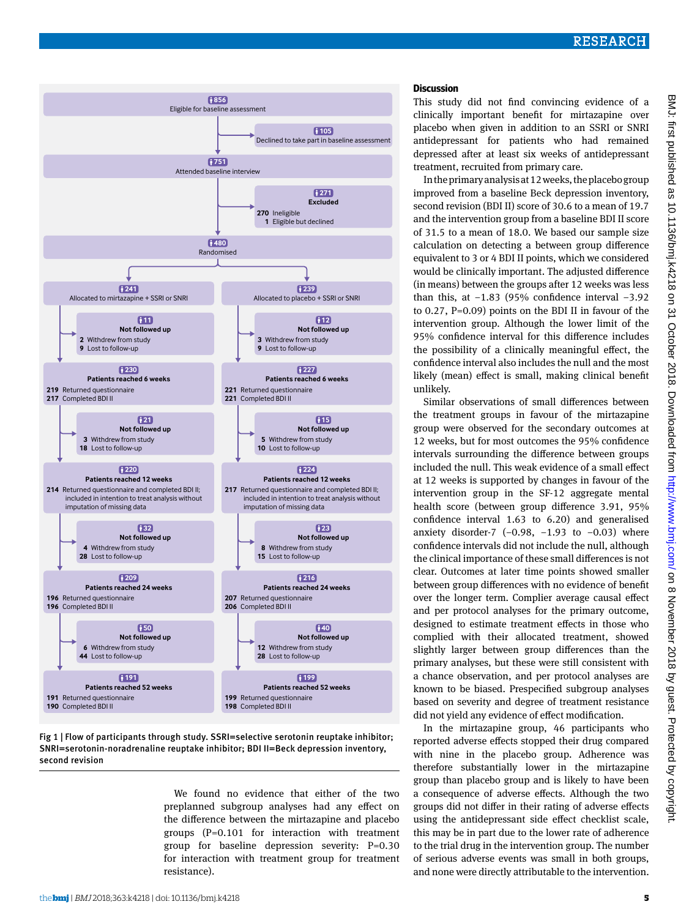# **Discussion**

This study did not find convincing evidence of a clinically important benefit for mirtazapine over placebo when given in addition to an SSRI or SNRI antidepressant for patients who had remained depressed after at least six weeks of antidepressant treatment, recruited from primary care.

In the primary analysis at 12 weeks, the placebo group improved from a baseline Beck depression inventory, second revision (BDI II) score of 30.6 to a mean of 19.7 and the intervention group from a baseline BDI II score of 31.5 to a mean of 18.0. We based our sample size calculation on detecting a between group difference equivalent to 3 or 4 BDI II points, which we considered would be clinically important. The adjusted difference (in means) between the groups after 12 weeks was less than this, at −1.83 (95% confidence interval −3.92 to 0.27, P=0.09) points on the BDI II in favour of the intervention group. Although the lower limit of the 95% confidence interval for this difference includes the possibility of a clinically meaningful effect, the confidence interval also includes the null and the most likely (mean) effect is small, making clinical benefit unlikely.

Similar observations of small differences between the treatment groups in favour of the mirtazapine group were observed for the secondary outcomes at 12 weeks, but for most outcomes the 95% confidence intervals surrounding the difference between groups included the null. This weak evidence of a small effect at 12 weeks is supported by changes in favour of the intervention group in the SF-12 aggregate mental health score (between group difference 3.91, 95% confidence interval 1.63 to 6.20) and generalised anxiety disorder-7  $(-0.98, -1.93)$  to  $-0.03$ ) where confidence intervals did not include the null, although the clinical importance of these small differences is not clear. Outcomes at later time points showed smaller between group differences with no evidence of benefit over the longer term. Complier average causal effect and per protocol analyses for the primary outcome, designed to estimate treatment effects in those who complied with their allocated treatment, showed slightly larger between group differences than the primary analyses, but these were still consistent with a chance observation, and per protocol analyses are known to be biased. Prespecified subgroup analyses based on severity and degree of treatment resistance did not yield any evidence of effect modification.

In the mirtazapine group, 46 participants who reported adverse effects stopped their drug compared with nine in the placebo group. Adherence was therefore substantially lower in the mirtazapine group than placebo group and is likely to have been a consequence of adverse effects. Although the two groups did not differ in their rating of adverse effects using the antidepressant side effect checklist scale, this may be in part due to the lower rate of adherence to the trial drug in the intervention group. The number of serious adverse events was small in both groups, and none were directly attributable to the intervention.



SNRI=serotonin-noradrenaline reuptake inhibitor; BDI II=Beck depression inventory, second revision

We found no evidence that either of the two preplanned subgroup analyses had any effect on the difference between the mirtazapine and placebo groups (P=0.101 for interaction with treatment group for baseline depression severity: P=0.30 for interaction with treatment group for treatment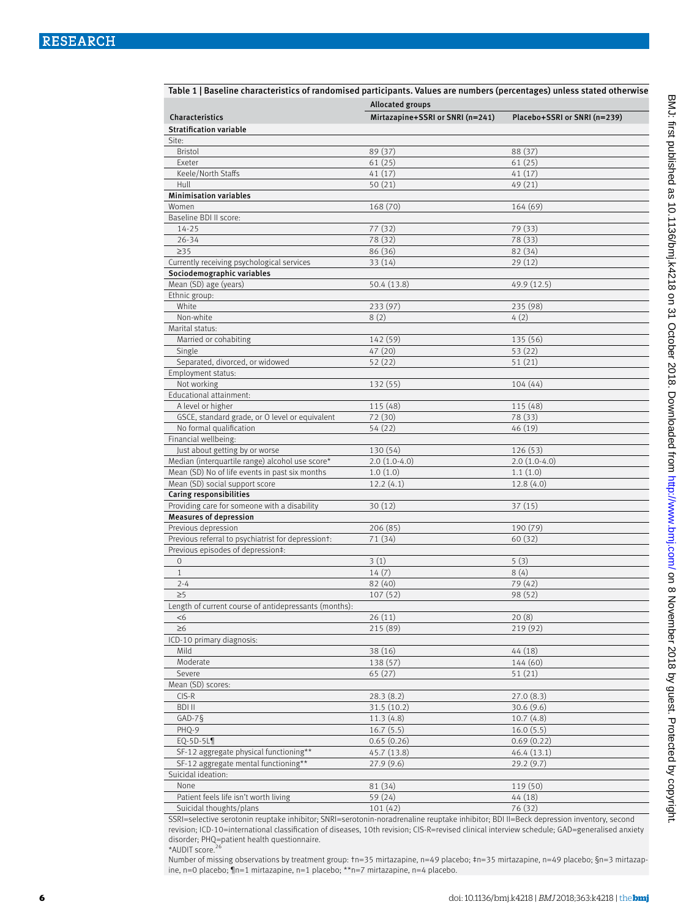| Table 1   Baseline characteristics of randomised participants. Values are numbers (percentages) unless stated otherwise |                                                             |                              |
|-------------------------------------------------------------------------------------------------------------------------|-------------------------------------------------------------|------------------------------|
| Characteristics                                                                                                         | <b>Allocated groups</b><br>Mirtazapine+SSRI or SNRI (n=241) | Placebo+SSRI or SNRI (n=239) |
| <b>Stratification variable</b>                                                                                          |                                                             |                              |
| Site:                                                                                                                   |                                                             |                              |
| <b>Bristol</b>                                                                                                          | 89 (37)                                                     | 88 (37)                      |
| Exeter                                                                                                                  | 61(25)                                                      | 61(25)                       |
| Keele/North Staffs                                                                                                      | 41(17)                                                      | 41(17)                       |
| Hull<br><b>Minimisation variables</b>                                                                                   | 50(21)                                                      | 49 (21)                      |
| Women                                                                                                                   | 168 (70)                                                    | 164 (69)                     |
| Baseline BDI II score:                                                                                                  |                                                             |                              |
| $14 - 25$                                                                                                               | 77 (32)                                                     | 79 (33)                      |
| $26 - 34$                                                                                                               | 78 (32)                                                     | 78 (33)                      |
| $\geq$ 35                                                                                                               | 86 (36)                                                     | 82 (34)                      |
| Currently receiving psychological services                                                                              | 33 (14)                                                     | 29(12)                       |
| Sociodemographic variables                                                                                              |                                                             |                              |
| Mean (SD) age (years)                                                                                                   | 50.4 (13.8)                                                 | 49.9 (12.5)                  |
| Ethnic group:                                                                                                           |                                                             |                              |
| White                                                                                                                   | 233 (97)                                                    | 235 (98)                     |
| Non-white                                                                                                               | 8(2)                                                        | 4(2)                         |
| Marital status:                                                                                                         |                                                             |                              |
| Married or cohabiting<br>Single                                                                                         | 142 (59)<br>47 (20)                                         | 135 (56)<br>53(22)           |
| Separated, divorced, or widowed                                                                                         | 52 (22)                                                     | 51(21)                       |
| Employment status:                                                                                                      |                                                             |                              |
| Not working                                                                                                             | 132 (55)                                                    | 104(44)                      |
| Educational attainment:                                                                                                 |                                                             |                              |
| A level or higher                                                                                                       | 115 (48)                                                    | 115 (48)                     |
| GSCE, standard grade, or O level or equivalent                                                                          | 72 (30)                                                     | 78 (33)                      |
| No formal qualification                                                                                                 | 54 (22)                                                     | 46 (19)                      |
| Financial wellbeing:                                                                                                    |                                                             |                              |
| Just about getting by or worse                                                                                          | 130 (54)                                                    | 126 (53)                     |
| Median (interquartile range) alcohol use score*                                                                         | $2.0(1.0-4.0)$                                              | $2.0(1.0-4.0)$               |
| Mean (SD) No of life events in past six months                                                                          | 1.0(1.0)                                                    | 1.1(1.0)                     |
| Mean (SD) social support score                                                                                          | 12.2(4.1)                                                   | 12.8(4.0)                    |
| <b>Caring responsibilities</b>                                                                                          |                                                             |                              |
| Providing care for someone with a disability                                                                            | 30(12)                                                      | 37 (15)                      |
| <b>Measures of depression</b><br>Previous depression                                                                    | 206 (85)                                                    | 190 (79)                     |
| Previous referral to psychiatrist for depressiont:                                                                      | 71 (34)                                                     | 60(32)                       |
| Previous episodes of depression‡:                                                                                       |                                                             |                              |
| $\mathbf 0$                                                                                                             | 3(1)                                                        | 5(3)                         |
| $\mathbf{1}$                                                                                                            | 14(7)                                                       | 8(4)                         |
| $2 - 4$                                                                                                                 | 82 (40)                                                     | 79 (42)                      |
| $\geq 5$                                                                                                                | 107(52)                                                     | 98 (52)                      |
| Length of current course of antidepressants (months):                                                                   |                                                             |                              |
| $<$ 6                                                                                                                   | 26(11)                                                      | 20(8)                        |
| $\geq 6$                                                                                                                | 215 (89)                                                    | 219 (92)                     |
| ICD-10 primary diagnosis:                                                                                               |                                                             |                              |
| Mild                                                                                                                    | 38 (16)                                                     | 44 (18)                      |
| Moderate                                                                                                                | 138 (57)                                                    | 144 (60)                     |
| Severe                                                                                                                  | 65(27)                                                      | 51(21)                       |
| Mean (SD) scores:                                                                                                       |                                                             |                              |
| $CIS-R$                                                                                                                 | 28.3(8.2)                                                   | 27.0(8.3)                    |
| <b>BDI II</b>                                                                                                           | 31.5 (10.2)                                                 | 30.6(9.6)                    |
| $GAD-7S$<br>PHQ-9                                                                                                       | 11.3(4.8)                                                   | 10.7(4.8)                    |
| $EQ-5D-5LI$                                                                                                             | 16.7(5.5)<br>0.65(0.26)                                     | 16.0(5.5)<br>0.69(0.22)      |
| SF-12 aggregate physical functioning**                                                                                  | 45.7 (13.8)                                                 | 46.4(13.1)                   |
| SF-12 aggregate mental functioning**                                                                                    | 27.9(9.6)                                                   | 29.2(9.7)                    |
| Suicidal ideation:                                                                                                      |                                                             |                              |
| None                                                                                                                    | 81 (34)                                                     | 119 (50)                     |
| Patient feels life isn't worth living                                                                                   | 59 (24)                                                     | 44 (18)                      |
| Suicidal thoughts/plans                                                                                                 | 101(42)                                                     | 76 (32)                      |

SSRI=selective serotonin reuptake inhibitor; SNRI=serotonin-noradrenaline reuptake inhibitor; BDI II=Beck depression inventory, second revision; ICD-10=international classification of diseases, 10th revision; CIS-R=revised clinical interview schedule; GAD=generalised anxiety disorder; PHQ=patient health questionnaire.<br>\*AUDIT score.<sup>26</sup>

Number of missing observations by treatment group: †n=35 mirtazapine, n=49 placebo; ‡n=35 mirtazapine, n=49 placebo; §n=3 mirtazapine, n=0 placebo; ¶n=1 mirtazapine, n=1 placebo; \*\*n=7 mirtazapine, n=4 placebo.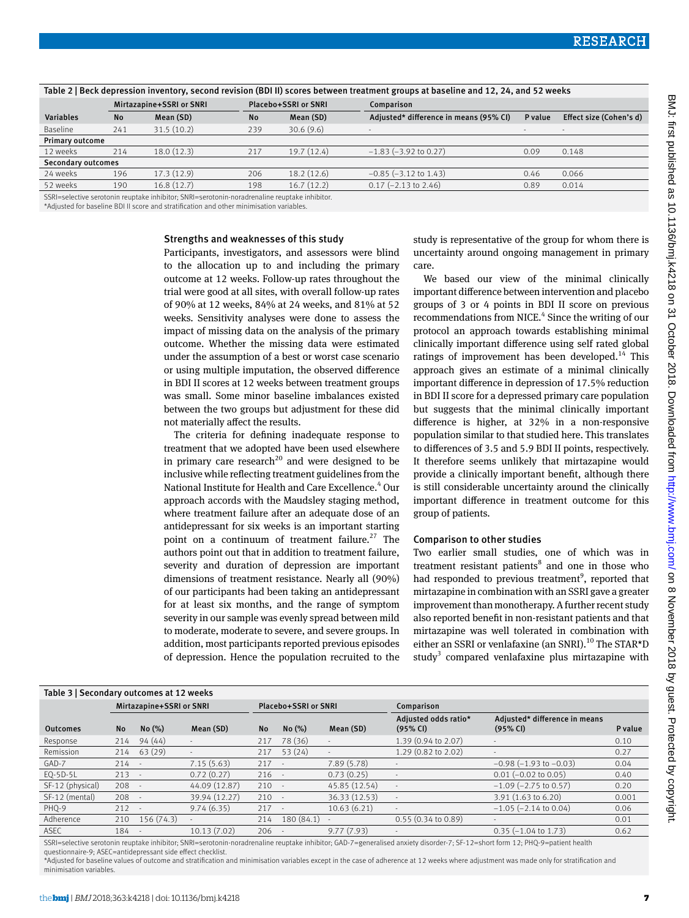| Table 2   Deck depression mventory, second revision (DDT ii) scores between treatment groups at baseline and 12, 24, and 32 weeks |     |                          |           |                      |                                        |                          |                          |  |  |
|-----------------------------------------------------------------------------------------------------------------------------------|-----|--------------------------|-----------|----------------------|----------------------------------------|--------------------------|--------------------------|--|--|
|                                                                                                                                   |     | Mirtazapine+SSRI or SNRI |           | Placebo+SSRI or SNRI | Comparison                             |                          |                          |  |  |
| <b>Variables</b>                                                                                                                  | No  | Mean (SD)                | <b>No</b> | Mean (SD)            | Adjusted* difference in means (95% CI) | P value                  | Effect size (Cohen's d)  |  |  |
| Baseline                                                                                                                          | 241 | 31.5(10.2)               | 239       | 30.6(9.6)            |                                        | $\overline{\phantom{a}}$ | $\overline{\phantom{a}}$ |  |  |
| <b>Primary outcome</b>                                                                                                            |     |                          |           |                      |                                        |                          |                          |  |  |
| 12 weeks                                                                                                                          | 214 | 18.0(12.3)               | 217       | 19.7(12.4)           | $-1.83$ ( $-3.92$ to 0.27)             | 0.09                     | 0.148                    |  |  |
| <b>Secondary outcomes</b>                                                                                                         |     |                          |           |                      |                                        |                          |                          |  |  |
| 24 weeks                                                                                                                          | 196 | 17.3(12.9)               | 206       | 18.2(12.6)           | $-0.85$ ( $-3.12$ to 1.43)             | 0.46                     | 0.066                    |  |  |
| 52 weeks                                                                                                                          | 190 | 16.8(12.7)               | 198       | 16.7(12.2)           | $0.17$ (-2.13 to 2.46)                 | 0.89                     | 0.014                    |  |  |
|                                                                                                                                   |     |                          |           |                      |                                        |                          |                          |  |  |

Table 2 | Beck depression inventory, second revision (BDI II) scores between treatment groups at baseline and 12, 24, and 52 weeks

SSRI=selective serotonin reuptake inhibitor; SNRI=serotonin-noradrenaline reuptake inhibitor. \*Adjusted for baseline BDI II score and stratification and other minimisation variables.

#### Strengths and weaknesses of this study

Participants, investigators, and assessors were blind to the allocation up to and including the primary outcome at 12 weeks. Follow-up rates throughout the trial were good at all sites, with overall follow-up rates of 90% at 12 weeks, 84% at 24 weeks, and 81% at 52 weeks. Sensitivity analyses were done to assess the impact of missing data on the analysis of the primary outcome. Whether the missing data were estimated under the assumption of a best or worst case scenario or using multiple imputation, the observed difference in BDI II scores at 12 weeks between treatment groups was small. Some minor baseline imbalances existed between the two groups but adjustment for these did not materially affect the results.

The criteria for defining inadequate response to treatment that we adopted have been used elsewhere in primary care research<sup>20</sup> and were designed to be inclusive while reflecting treatment guidelines from the National Institute for Health and Care Excellence.<sup>4</sup> Our approach accords with the Maudsley staging method, where treatment failure after an adequate dose of an antidepressant for six weeks is an important starting point on a continuum of treatment failure.<sup>27</sup> The authors point out that in addition to treatment failure, severity and duration of depression are important dimensions of treatment resistance. Nearly all (90%) of our participants had been taking an antidepressant for at least six months, and the range of symptom severity in our sample was evenly spread between mild to moderate, moderate to severe, and severe groups. In addition, most participants reported previous episodes of depression. Hence the population recruited to the

study is representative of the group for whom there is uncertainty around ongoing management in primary care.

We based our view of the minimal clinically important difference between intervention and placebo groups of 3 or 4 points in BDI II score on previous recommendations from NICE.<sup>4</sup> Since the writing of our protocol an approach towards establishing minimal clinically important difference using self rated global ratings of improvement has been developed.<sup>14</sup> This approach gives an estimate of a minimal clinically important difference in depression of 17.5% reduction in BDI II score for a depressed primary care population but suggests that the minimal clinically important difference is higher, at 32% in a non-responsive population similar to that studied here. This translates to differences of 3.5 and 5.9 BDI II points, respectively. It therefore seems unlikely that mirtazapine would provide a clinically important benefit, although there is still considerable uncertainty around the clinically important difference in treatment outcome for this group of patients.

#### Comparison to other studies

Two earlier small studies, one of which was in treatment resistant patients<sup>8</sup> and one in those who had responded to previous treatment<sup>9</sup>, reported that mirtazapine in combination with an SSRI gave a greater improvement than monotherapy. A further recent study also reported benefit in non-resistant patients and that mirtazapine was well tolerated in combination with either an SSRI or venlafaxine (an SNRI).<sup>10</sup> The STAR\*D study<sup>3</sup> compared venlafaxine plus mirtazapine with

| Table 3   Secondary outcomes at 12 weeks |                          |                          |                          |                      |           |                          |                                  |                                           |         |  |
|------------------------------------------|--------------------------|--------------------------|--------------------------|----------------------|-----------|--------------------------|----------------------------------|-------------------------------------------|---------|--|
|                                          | Mirtazapine+SSRI or SNRI |                          |                          | Placebo+SSRI or SNRI |           | Comparison               |                                  |                                           |         |  |
| <b>Outcomes</b>                          | <b>No</b>                | No (%)                   | Mean (SD)                | <b>No</b>            | No(%)     | Mean (SD)                | Adjusted odds ratio*<br>(95% CI) | Adjusted* difference in means<br>(95% CI) | P value |  |
|                                          |                          |                          |                          |                      |           |                          |                                  |                                           |         |  |
| Response                                 | 214                      | 94(44)                   | $\overline{\phantom{a}}$ | 217                  | 78 (36)   | $\overline{\phantom{a}}$ | 1.39 (0.94 to 2.07)              |                                           | 0.10    |  |
| Remission                                | 214                      | 63(29)                   |                          | 217                  | 53(24)    | $\overline{\phantom{a}}$ | $1.29$ (0.82 to 2.02)            |                                           | 0.27    |  |
| GAD-7                                    | 214                      | $\overline{\phantom{a}}$ | 7.15(5.63)               | 217                  |           | 7.89(5.78)               | $\overline{\phantom{a}}$         | $-0.98$ ( $-1.93$ to $-0.03$ )            | 0.04    |  |
| EQ-5D-5L                                 | 213                      |                          | 0.72(0.27)               | $216 -$              |           | 0.73(0.25)               |                                  | $0.01$ (-0.02 to 0.05)                    | 0.40    |  |
| SF-12 (physical)                         | 208                      |                          | 44.09 (12.87)            | 210                  |           | 45.85 (12.54)            | $\overline{\phantom{a}}$         | $-1.09$ ( $-2.75$ to 0.57)                | 0.20    |  |
| SF-12 (mental)                           | 208                      |                          | 39.94 (12.27)            | 210                  |           | 36.33 (12.53)            | $\overline{\phantom{a}}$         | $3.91(1.63 \text{ to } 6.20)$             | 0.001   |  |
| PHQ-9                                    | 212                      |                          | 9.74(6.35)               | 217                  |           | 10.63(6.21)              | $\overline{\phantom{a}}$         | $-1.05$ ( $-2.14$ to 0.04)                | 0.06    |  |
| Adherence                                | 210                      | 156 (74.3)               |                          | 214                  | 180(84.1) | $\overline{a}$           | $0.55(0.34 \text{ to } 0.89)$    | $\overline{\phantom{a}}$                  | 0.01    |  |
| ASEC                                     | 184                      |                          | 10.13(7.02)              | 206                  |           | 9.77(7.93)               |                                  | $0.35(-1.04 \text{ to } 1.73)$            | 0.62    |  |

SSRI=selective serotonin reuptake inhibitor; SNRI=serotonin-noradrenaline reuptake inhibitor; GAD-7=generalised anxiety disorder-7; SF-12=short form 12; PHQ-9=patient health questionnaire-9; ASEC=antidepressant side effect checklist.

\*Adjusted for baseline values of outcome and stratification and minimisation variables except in the case of adherence at 12 weeks where adjustment was made only for stratification and minimisation variables.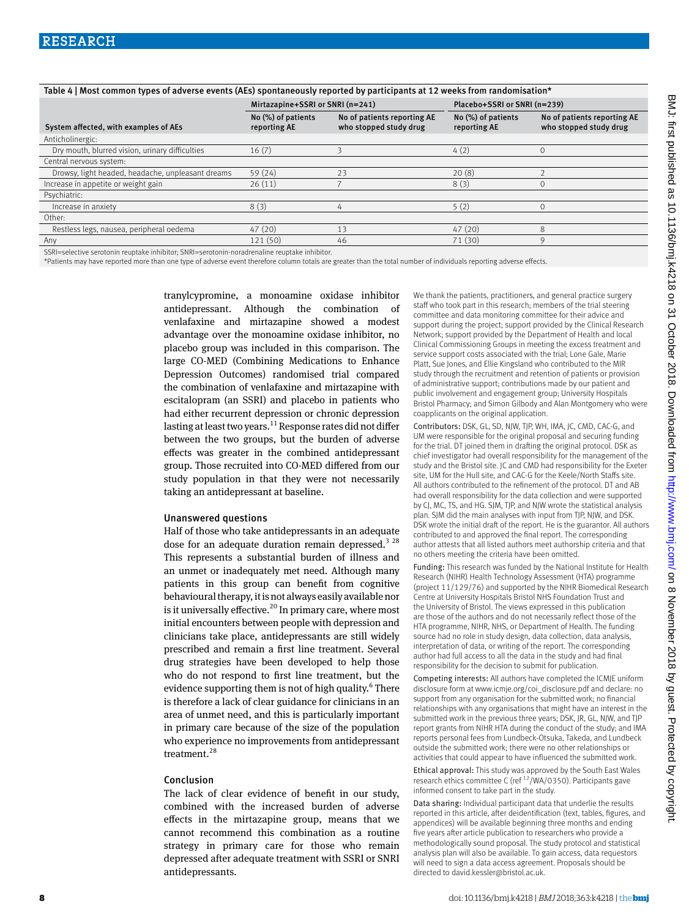| Table 4   Most common types of adverse events (AEs) spontaneously reported by participants at 12 weeks from randomisation* |                                    |                                                       |                                    |                                                       |  |
|----------------------------------------------------------------------------------------------------------------------------|------------------------------------|-------------------------------------------------------|------------------------------------|-------------------------------------------------------|--|
|                                                                                                                            | Mirtazapine+SSRI or SNRI (n=241)   |                                                       | Placebo+SSRI or SNRI (n=239)       |                                                       |  |
| System affected, with examples of AEs                                                                                      | No (%) of patients<br>reporting AE | No of patients reporting AE<br>who stopped study drug | No (%) of patients<br>reporting AE | No of patients reporting AE<br>who stopped study drug |  |
| Anticholinergic:                                                                                                           |                                    |                                                       |                                    |                                                       |  |
| Dry mouth, blurred vision, urinary difficulties                                                                            | 16(7)                              |                                                       | 4(2)                               | $\Omega$                                              |  |
| Central nervous system:                                                                                                    |                                    |                                                       |                                    |                                                       |  |
| Drowsy, light headed, headache, unpleasant dreams                                                                          | 59(24)                             | 23                                                    | 20(8)                              |                                                       |  |
| Increase in appetite or weight gain                                                                                        | 26(11)                             |                                                       | 8(3)                               | $\Omega$                                              |  |
| Psychiatric:                                                                                                               |                                    |                                                       |                                    |                                                       |  |
| Increase in anxiety                                                                                                        | 8(3)                               | 4                                                     | 5(2)                               | $\Omega$                                              |  |
| Other:                                                                                                                     |                                    |                                                       |                                    |                                                       |  |
| Restless legs, nausea, peripheral oedema                                                                                   | 47(20)                             | 13                                                    | 47(20)                             | 8                                                     |  |
| Any                                                                                                                        | 121 (50)                           | 46                                                    | 71 (30)                            | 9                                                     |  |
|                                                                                                                            |                                    |                                                       |                                    |                                                       |  |

SSRI=selective serotonin reuptake inhibitor; SNRI=serotonin-noradrenaline reuptake inhibitor.

\*Patients may have reported more than one type of adverse event therefore column totals are greater than the total number of individuals reporting adverse effects.

tranylcypromine, a monoamine oxidase inhibitor antidepressant. Although the combination of venlafaxine and mirtazapine showed a modest advantage over the monoamine oxidase inhibitor, no placebo group was included in this comparison. The large CO-MED (Combining Medications to Enhance Depression Outcomes) randomised trial compared the combination of venlafaxine and mirtazapine with escitalopram (an SSRI) and placebo in patients who had either recurrent depression or chronic depression lasting at least two years.<sup>11</sup> Response rates did not differ between the two groups, but the burden of adverse effects was greater in the combined antidepressant group. Those recruited into CO-MED differed from our study population in that they were not necessarily taking an antidepressant at baseline.

#### Unanswered questions

Half of those who take antidepressants in an adequate dose for an adequate duration remain depressed.<sup>3 28</sup> This represents a substantial burden of illness and an unmet or inadequately met need. Although many patients in this group can benefit from cognitive behavioural therapy, it is not always easily available nor is it universally effective.<sup>20</sup> In primary care, where most initial encounters between people with depression and clinicians take place, antidepressants are still widely prescribed and remain a first line treatment. Several drug strategies have been developed to help those who do not respond to first line treatment, but the evidence supporting them is not of high quality.<sup>6</sup> There is therefore a lack of clear guidance for clinicians in an area of unmet need, and this is particularly important in primary care because of the size of the population who experience no improvements from antidepressant treatment.<sup>28</sup>

#### Conclusion

The lack of clear evidence of benefit in our study, combined with the increased burden of adverse effects in the mirtazapine group, means that we cannot recommend this combination as a routine strategy in primary care for those who remain depressed after adequate treatment with SSRI or SNRI antidepressants.

We thank the patients, practitioners, and general practice surgery staff who took part in this research; members of the trial steering committee and data monitoring committee for their advice and support during the project; support provided by the Clinical Research Network; support provided by the Department of Health and local Clinical Commissioning Groups in meeting the excess treatment and service support costs associated with the trial; Lone Gale, Marie Platt, Sue Jones, and Ellie Kingsland who contributed to the MIR study through the recruitment and retention of patients or provision of administrative support; contributions made by our patient and public involvement and engagement group; University Hospitals Bristol Pharmacy; and Simon Gilbody and Alan Montgomery who were coapplicants on the original application.

Contributors: DSK, GL, SD, NJW, TJP, WH, IMA, JC, CMD, CAC-G, and UM were responsible for the original proposal and securing funding for the trial. DT joined them in drafting the original protocol. DSK as chief investigator had overall responsibility for the management of the study and the Bristol site. JC and CMD had responsibility for the Exeter site, UM for the Hull site, and CAC-G for the Keele/North Staffs site. All authors contributed to the refinement of the protocol. DT and AB had overall responsibility for the data collection and were supported by CJ, MC, TS, and HG. SJM, TJP, and NJW wrote the statistical analysis plan. SJM did the main analyses with input from TJP, NJW, and DSK. DSK wrote the initial draft of the report. He is the guarantor. All authors contributed to and approved the final report. The corresponding author attests that all listed authors meet authorship criteria and that no others meeting the criteria have been omitted.

Funding: This research was funded by the National Institute for Health Research (NIHR) Health Technology Assessment (HTA) programme (project 11/129/76) and supported by the NIHR Biomedical Research Centre at University Hospitals Bristol NHS Foundation Trust and the University of Bristol. The views expressed in this publication are those of the authors and do not necessarily reflect those of the HTA programme, NIHR, NHS, or Department of Health. The funding source had no role in study design, data collection, data analysis, interpretation of data, or writing of the report. The corresponding author had full access to all the data in the study and had final responsibility for the decision to submit for publication.

Competing interests: All authors have completed the ICMJE uniform disclosure form at [www.icmje.org/coi\\_disclosure.pdf](http://www.icmje.org/coi_disclosure.pdf) and declare: no support from any organisation for the submitted work; no financial relationships with any organisations that might have an interest in the submitted work in the previous three years; DSK, JR, GL, NJW, and TJP report grants from NIHR HTA during the conduct of the study; and IMA reports personal fees from Lundbeck-Otsuka, Takeda, and Lundbeck outside the submitted work; there were no other relationships or activities that could appear to have influenced the submitted work.

Ethical approval: This study was approved by the South East Wales research ethics committee C (ref  $12$ /WA/0350). Participants gave informed consent to take part in the study.

Data sharing: Individual participant data that underlie the results reported in this article, after deidentification (text, tables, figures, and appendices) will be available beginning three months and ending five years after article publication to researchers who provide a methodologically sound proposal. The study protocol and statistical analysis plan will also be available. To gain access, data requestors will need to sign a data access agreement. Proposals should be directed to [david.kessler@bristol.ac.uk](mailto:david.kessler@bristol.ac.uk).